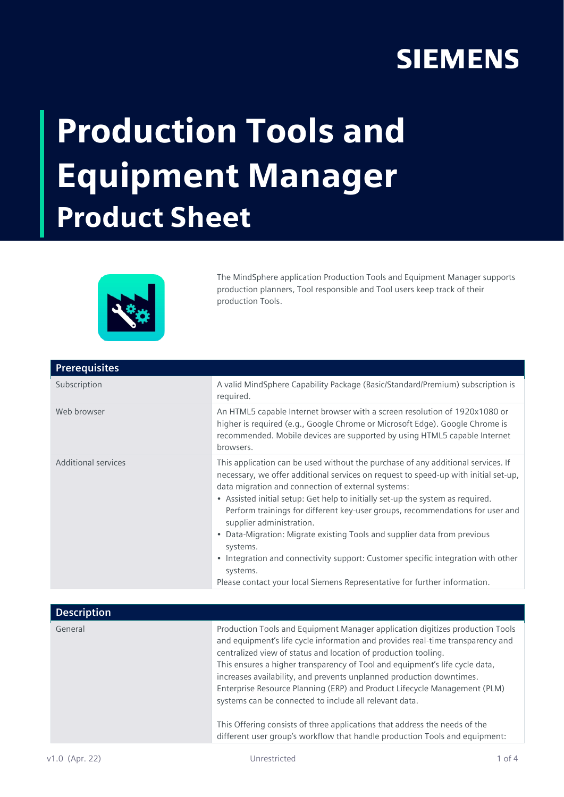## **SIEMENS**

## Production Tools and Equipment Manager Product Sheet



The MindSphere application Production Tools and Equipment Manager supports production planners, Tool responsible and Tool users keep track of their production Tools.

| <b>Prerequisites</b> |                                                                                                                                                                                                                                                                                                                                                                                                                                                                                                                                                                                                                                                                                                   |
|----------------------|---------------------------------------------------------------------------------------------------------------------------------------------------------------------------------------------------------------------------------------------------------------------------------------------------------------------------------------------------------------------------------------------------------------------------------------------------------------------------------------------------------------------------------------------------------------------------------------------------------------------------------------------------------------------------------------------------|
| Subscription         | A valid MindSphere Capability Package (Basic/Standard/Premium) subscription is<br>required.                                                                                                                                                                                                                                                                                                                                                                                                                                                                                                                                                                                                       |
| Web browser          | An HTML5 capable Internet browser with a screen resolution of 1920x1080 or<br>higher is required (e.g., Google Chrome or Microsoft Edge). Google Chrome is<br>recommended. Mobile devices are supported by using HTML5 capable Internet<br>browsers.                                                                                                                                                                                                                                                                                                                                                                                                                                              |
| Additional services  | This application can be used without the purchase of any additional services. If<br>necessary, we offer additional services on request to speed-up with initial set-up,<br>data migration and connection of external systems:<br>• Assisted initial setup: Get help to initially set-up the system as required.<br>Perform trainings for different key-user groups, recommendations for user and<br>supplier administration.<br>• Data-Migration: Migrate existing Tools and supplier data from previous<br>systems.<br>• Integration and connectivity support: Customer specific integration with other<br>systems.<br>Please contact your local Siemens Representative for further information. |
|                      |                                                                                                                                                                                                                                                                                                                                                                                                                                                                                                                                                                                                                                                                                                   |
| <b>Description</b>   |                                                                                                                                                                                                                                                                                                                                                                                                                                                                                                                                                                                                                                                                                                   |
| General              | Production Tools and Equipment Manager application digitizes production Tools<br>and equipment's life cycle information and provides real-time transparency and<br>centralized view of status and location of production tooling.<br>This ensures a higher transparency of Tool and equipment's life cycle data,<br>increases availability, and prevents unplanned production downtimes.<br>Enterprise Resource Planning (ERP) and Product Lifecycle Management (PLM)<br>systems can be connected to include all relevant data.                                                                                                                                                                   |

This Offering consists of three applications that address the needs of the different user group's workflow that handle production Tools and equipment: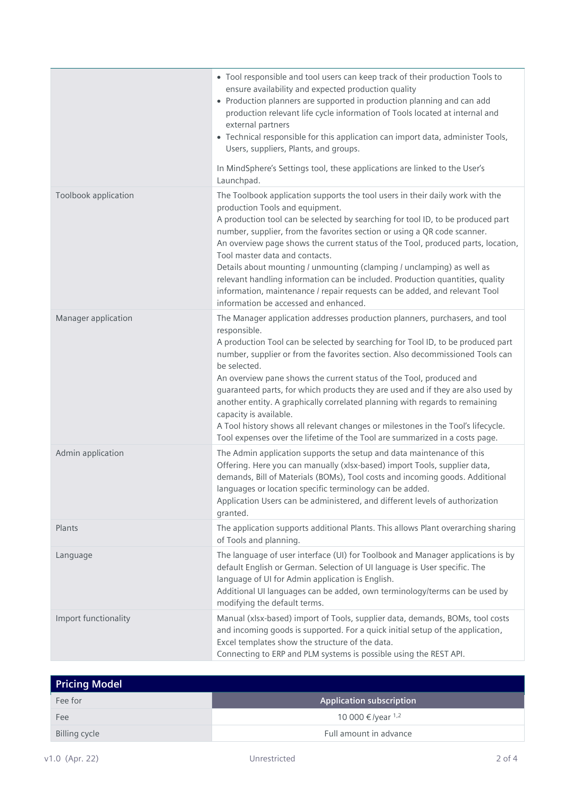|                      | • Tool responsible and tool users can keep track of their production Tools to<br>ensure availability and expected production quality<br>• Production planners are supported in production planning and can add<br>production relevant life cycle information of Tools located at internal and<br>external partners<br>• Technical responsible for this application can import data, administer Tools,<br>Users, suppliers, Plants, and groups.<br>In MindSphere's Settings tool, these applications are linked to the User's<br>Launchpad.                                                                                                                                                                            |
|----------------------|-----------------------------------------------------------------------------------------------------------------------------------------------------------------------------------------------------------------------------------------------------------------------------------------------------------------------------------------------------------------------------------------------------------------------------------------------------------------------------------------------------------------------------------------------------------------------------------------------------------------------------------------------------------------------------------------------------------------------|
| Toolbook application | The Toolbook application supports the tool users in their daily work with the<br>production Tools and equipment.<br>A production tool can be selected by searching for tool ID, to be produced part<br>number, supplier, from the favorites section or using a QR code scanner.<br>An overview page shows the current status of the Tool, produced parts, location,<br>Tool master data and contacts.<br>Details about mounting / unmounting (clamping / unclamping) as well as<br>relevant handling information can be included. Production quantities, quality<br>information, maintenance / repair requests can be added, and relevant Tool<br>information be accessed and enhanced.                               |
| Manager application  | The Manager application addresses production planners, purchasers, and tool<br>responsible.<br>A production Tool can be selected by searching for Tool ID, to be produced part<br>number, supplier or from the favorites section. Also decommissioned Tools can<br>be selected.<br>An overview pane shows the current status of the Tool, produced and<br>guaranteed parts, for which products they are used and if they are also used by<br>another entity. A graphically correlated planning with regards to remaining<br>capacity is available.<br>A Tool history shows all relevant changes or milestones in the Tool's lifecycle.<br>Tool expenses over the lifetime of the Tool are summarized in a costs page. |
| Admin application    | The Admin application supports the setup and data maintenance of this<br>Offering. Here you can manually (xlsx-based) import Tools, supplier data,<br>demands, Bill of Materials (BOMs), Tool costs and incoming goods. Additional<br>languages or location specific terminology can be added.<br>Application Users can be administered, and different levels of authorization<br>granted.                                                                                                                                                                                                                                                                                                                            |
| Plants               | The application supports additional Plants. This allows Plant overarching sharing<br>of Tools and planning.                                                                                                                                                                                                                                                                                                                                                                                                                                                                                                                                                                                                           |
| Language             | The language of user interface (UI) for Toolbook and Manager applications is by<br>default English or German. Selection of UI language is User specific. The<br>language of UI for Admin application is English.<br>Additional UI languages can be added, own terminology/terms can be used by<br>modifying the default terms.                                                                                                                                                                                                                                                                                                                                                                                        |
| Import functionality | Manual (xlsx-based) import of Tools, supplier data, demands, BOMs, tool costs<br>and incoming goods is supported. For a quick initial setup of the application,<br>Excel templates show the structure of the data.<br>Connecting to ERP and PLM systems is possible using the REST API.                                                                                                                                                                                                                                                                                                                                                                                                                               |

| Pricing Model        |                                 |
|----------------------|---------------------------------|
| Fee for              | <b>Application subscription</b> |
| Fee                  | 10 000 €/year <sup>1,2</sup>    |
| <b>Billing cycle</b> | Full amount in advance          |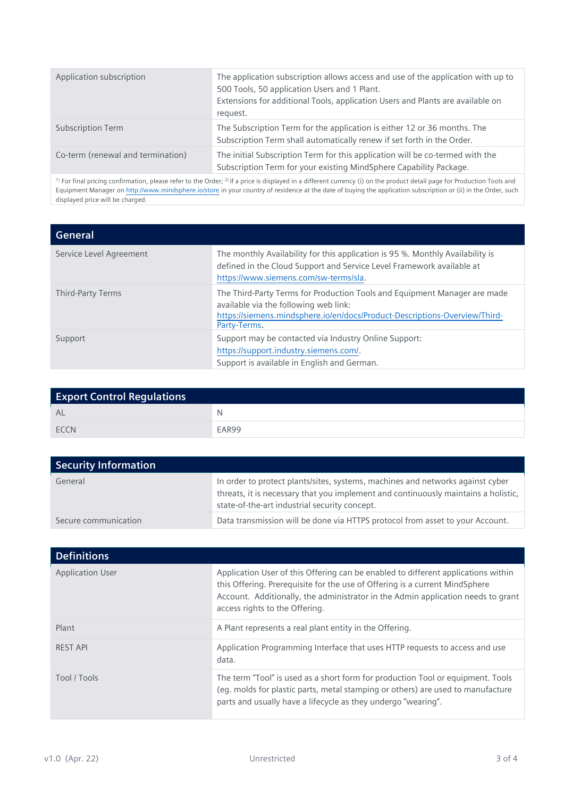| Application subscription          | The application subscription allows access and use of the application with up to<br>500 Tools, 50 application Users and 1 Plant.<br>Extensions for additional Tools, application Users and Plants are available on<br>request. |
|-----------------------------------|--------------------------------------------------------------------------------------------------------------------------------------------------------------------------------------------------------------------------------|
| <b>Subscription Term</b>          | The Subscription Term for the application is either 12 or 36 months. The<br>Subscription Term shall automatically renew if set forth in the Order.                                                                             |
| Co-term (renewal and termination) | The initial Subscription Term for this application will be co-termed with the<br>Subscription Term for your existing MindSphere Capability Package.                                                                            |

 $^{\text{\tiny{1}}}$  For final pricing confirmation, please refer to the Order;  $^{\text{\tiny{2)}}}$  If a price is displayed in a different currency (i) on the product detail page for Production Tools and Equipment Manager o[n http://www.mindsphere.io/store](http://www.mindsphere.io/store) in your country of residence at the date of buying the application subscription or (ii) in the Order, such displayed price will be charged.

| General                 |                                                                                                                                                                                                                  |
|-------------------------|------------------------------------------------------------------------------------------------------------------------------------------------------------------------------------------------------------------|
| Service Level Agreement | The monthly Availability for this application is 95 %. Monthly Availability is<br>defined in the Cloud Support and Service Level Framework available at<br>https://www.siemens.com/sw-terms/sla.                 |
| Third-Party Terms       | The Third-Party Terms for Production Tools and Equipment Manager are made<br>available via the following web link:<br>https://siemens.mindsphere.io/en/docs/Product-Descriptions-Overview/Third-<br>Party-Terms. |
| Support                 | Support may be contacted via Industry Online Support:<br>https://support.industry.siemens.com/.<br>Support is available in English and German.                                                                   |

| <b>Export Control Regulations</b> |       |
|-----------------------------------|-------|
| <b>AL</b>                         | N     |
| <b>ECCN</b>                       | EAR99 |

| <b>Security Information</b> |                                                                                                                                                                                                                       |
|-----------------------------|-----------------------------------------------------------------------------------------------------------------------------------------------------------------------------------------------------------------------|
| General                     | In order to protect plants/sites, systems, machines and networks against cyber<br>threats, it is necessary that you implement and continuously maintains a holistic,<br>state-of-the-art industrial security concept. |
| Secure communication        | Data transmission will be done via HTTPS protocol from asset to your Account.                                                                                                                                         |

| <b>Definitions</b>      |                                                                                                                                                                                                                                                                                        |
|-------------------------|----------------------------------------------------------------------------------------------------------------------------------------------------------------------------------------------------------------------------------------------------------------------------------------|
| <b>Application User</b> | Application User of this Offering can be enabled to different applications within<br>this Offering. Prerequisite for the use of Offering is a current MindSphere<br>Account. Additionally, the administrator in the Admin application needs to grant<br>access rights to the Offering. |
| Plant                   | A Plant represents a real plant entity in the Offering.                                                                                                                                                                                                                                |
| <b>REST API</b>         | Application Programming Interface that uses HTTP requests to access and use<br>data.                                                                                                                                                                                                   |
| Tool / Tools            | The term "Tool" is used as a short form for production Tool or equipment. Tools<br>(eq. molds for plastic parts, metal stamping or others) are used to manufacture<br>parts and usually have a lifecycle as they undergo "wearing".                                                    |